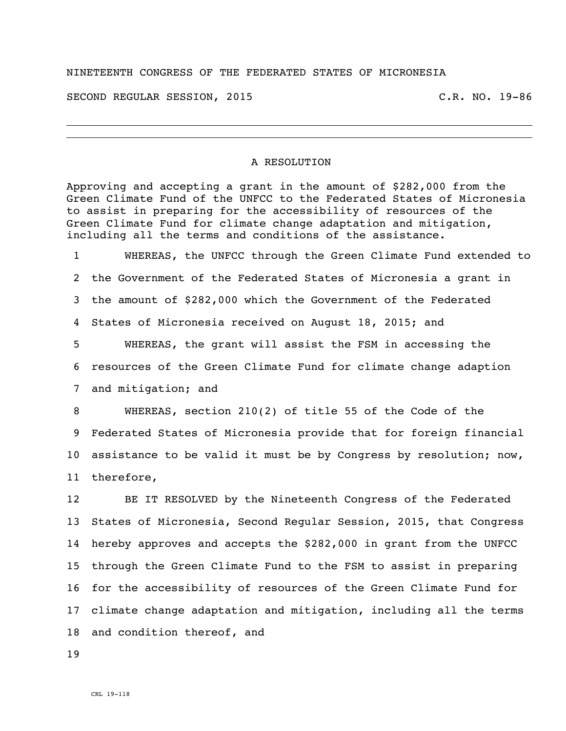## NINETEENTH CONGRESS OF THE FEDERATED STATES OF MICRONESIA

SECOND REGULAR SESSION, 2015 C.R. NO. 19-86

## A RESOLUTION

Approving and accepting a grant in the amount of \$282,000 from the Green Climate Fund of the UNFCC to the Federated States of Micronesia to assist in preparing for the accessibility of resources of the Green Climate Fund for climate change adaptation and mitigation, including all the terms and conditions of the assistance.

 WHEREAS, the UNFCC through the Green Climate Fund extended to the Government of the Federated States of Micronesia a grant in the amount of \$282,000 which the Government of the Federated States of Micronesia received on August 18, 2015; and

 WHEREAS, the grant will assist the FSM in accessing the resources of the Green Climate Fund for climate change adaption and mitigation; and

 WHEREAS, section 210(2) of title 55 of the Code of the Federated States of Micronesia provide that for foreign financial assistance to be valid it must be by Congress by resolution; now, therefore,

 BE IT RESOLVED by the Nineteenth Congress of the Federated States of Micronesia, Second Regular Session, 2015, that Congress hereby approves and accepts the \$282,000 in grant from the UNFCC through the Green Climate Fund to the FSM to assist in preparing for the accessibility of resources of the Green Climate Fund for climate change adaptation and mitigation, including all the terms and condition thereof, and